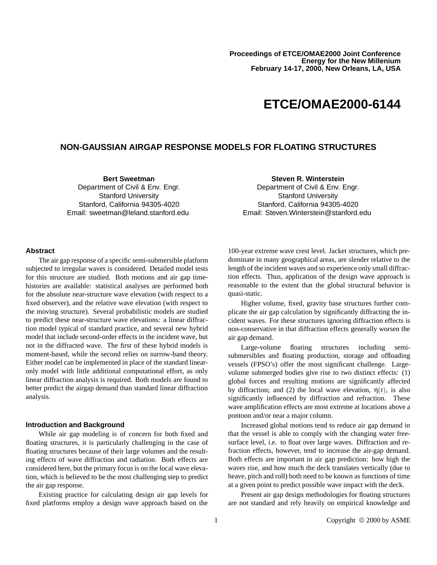# **ETCE/OMAE2000-6144**

# **NON-GAUSSIAN AIRGAP RESPONSE MODELS FOR FLOATING STRUCTURES**

**Bert Sweetman**

Department of Civil & Env. Engr. Stanford University Stanford, California 94305-4020 Email: sweetman@leland.stanford.edu **Steven R. Winterstein**

Department of Civil & Env. Engr. Stanford University Stanford, California 94305-4020 Email: Steven.Winterstein@stanford.edu

# **Abstract**

The air gap response of a specific semi-submersible platform subjected to irregular waves is considered. Detailed model tests for this structure are studied. Both motions and air gap timehistories are available: statistical analyses are performed both for the absolute near-structure wave elevation (with respect to a fixed observer), and the relative wave elevation (with respect to the moving structure). Several probabilistic models are studied to predict these near-structure wave elevations: a linear diffraction model typical of standard practice, and several new hybrid model that include second-order effects in the incident wave, but not in the diffracted wave. The first of these hybrid models is moment-based, while the second relies on narrow-band theory. Either model can be implemented in place of the standard linearonly model with little additional computational effort, as only linear diffraction analysis is required. Both models are found to better predict the airgap demand than standard linear diffraction analysis.

### **Introduction and Background**

While air gap modeling is of concern for both fixed and floating structures, it is particularly challenging in the case of floating structures because of their large volumes and the resulting effects of wave diffraction and radiation. Both effects are considered here, but the primary focus is on the local wave elevation, which is believed to be the most challenging step to predict the air gap response.

Existing practice for calculating design air gap levels for fixed platforms employ a design wave approach based on the

100-year extreme wave crest level. Jacket structures, which predominate in many geographical areas, are slender relative to the length of the incident waves and so experience only small diffraction effects. Thus, application of the design wave approach is reasonable to the extent that the global structural behavior is quasi-static.

Higher volume, fixed, gravity base structures further complicate the air gap calculation by significantly diffracting the incident waves. For these structures ignoring diffraction effects is non-conservative in that diffraction effects generally worsen the air gap demand.

Large-volume floating structures including semisubmersibles and floating production, storage and offloading vessels (FPSO's) offer the most significant challenge. Largevolume submerged bodies give rise to two distinct effects: (1) global forces and resulting motions are significantly affected by diffraction; and (2) the local wave elevation,  $\eta(t)$ , is also significantly influenced by diffraction and refraction. These wave amplification effects are most extreme at locations above a pontoon and/or near a major column.

Increased global motions tend to reduce air gap demand in that the vessel is able to comply with the changing water freesurface level, i.e. to float over large waves. Diffraction and refraction effects, however, tend to increase the air-gap demand. Both effects are important in air gap prediction: how high the waves rise, and how much the deck translates vertically (due to heave, pitch and roll) both need to be known as functions of time at a given point to predict possible wave impact with the deck.

Present air gap design methodologies for floating structures are not standard and rely heavily on empirical knowledge and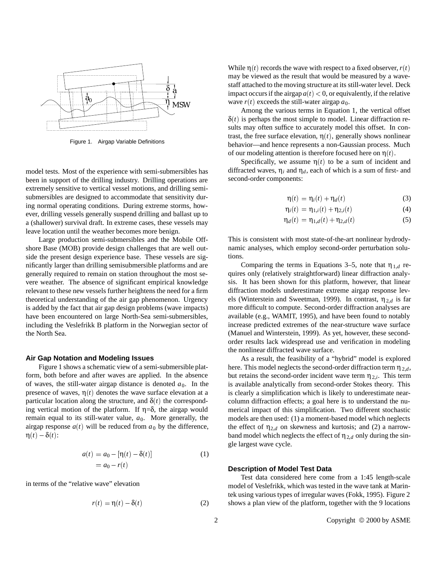

Figure 1. Airgap Variable Definitions

model tests. Most of the experience with semi-submersibles has been in support of the drilling industry. Drilling operations are extremely sensitive to vertical vessel motions, and drilling semisubmersibles are designed to accommodate that sensitivity during normal operating conditions. During extreme storms, however, drilling vessels generally suspend drilling and ballast up to a (shallower) survival draft. In extreme cases, these vessels may leave location until the weather becomes more benign.

Large production semi-submersibles and the Mobile Offshore Base (MOB) provide design challenges that are well outside the present design experience base. These vessels are significantly larger than drilling semisubmersible platforms and are generally required to remain on station throughout the most severe weather. The absence of significant empirical knowledge relevant to these new vessels further heightens the need for a firm theoretical understanding of the air gap phenomenon. Urgency is added by the fact that air gap design problems (wave impacts) have been encountered on large North-Sea semi-submersibles, including the Veslefrikk B platform in the Norwegian sector of the North Sea.

#### **Air Gap Notation and Modeling Issues**

Figure 1 shows a schematic view of a semi-submersible platform, both before and after waves are applied. In the absence of waves, the still-water airgap distance is denoted  $a_0$ . In the presence of waves,  $\eta(t)$  denotes the wave surface elevation at a particular location along the structure, and  $\delta(t)$  the corresponding vertical motion of the platform. If  $\eta = \delta$ , the airgap would remain equal to its still-water value,  $a_0$ . More generally, the airgap response  $a(t)$  will be reduced from  $a_0$  by the difference,  $\eta(t) - \delta(t)$ :

$$
a(t) = a_0 - [\eta(t) - \delta(t)]
$$
  
= a\_0 - r(t) (1)

in terms of the "relative wave" elevation

$$
r(t) = \eta(t) - \delta(t) \tag{2}
$$

While  $\eta(t)$  records the wave with respect to a fixed observer,  $r(t)$ may be viewed as the result that would be measured by a wavestaff attached to the moving structure at its still-water level. Deck impact occurs if the airgap  $a(t) < 0$ , or equivalently, if the relative wave  $r(t)$  exceeds the still-water airgap  $a_0$ .

Among the various terms in Equation 1, the vertical offset  $\delta(t)$  is perhaps the most simple to model. Linear diffraction results may often suffice to accurately model this offset. In contrast, the free surface elevation,  $\eta(t)$ , generally shows nonlinear behavior—and hence represents a non-Gaussian process. Much of our modeling attention is therefore focused here on  $\eta(t)$ .

Specifically, we assume  $\eta(t)$  to be a sum of incident and diffracted waves,  $\eta_i$  and  $\eta_d$ , each of which is a sum of first- and second-order components:

$$
\eta(t) = \eta_i(t) + \eta_d(t) \tag{3}
$$

$$
\eta_i(t) = \eta_{1,i}(t) + \eta_{2,i}(t)
$$
 (4)

$$
\eta_d(t) = \eta_{1,d}(t) + \eta_{2,d}(t) \tag{5}
$$

This is consistent with most state-of-the-art nonlinear hydrodynamic analyses, which employ second-order perturbation solutions.

Comparing the terms in Equations 3–5, note that  $\eta_{1,d}$  requires only (relatively straightforward) linear diffraction analysis. It has been shown for this platform, however, that linear diffraction models underestimate extreme airgap response levels (Winterstein and Sweetman, 1999). In contrast,  $\eta_{2,d}$  is far more difficult to compute. Second-order diffraction analyses are available (e.g., WAMIT, 1995), and have been found to notably increase predicted extremes of the near-structure wave surface (Manuel and Winterstein, 1999). As yet, however, these secondorder results lack widespread use and verification in modeling the nonlinear diffracted wave surface.

As a result, the feasibility of a "hybrid" model is explored here. This model neglects the second-order diffraction term  $\eta_{2,d}$ , but retains the second-order incident wave term  $\eta_{2,i}$ . This term is available analytically from second-order Stokes theory. This is clearly a simplification which is likely to underestimate nearcolumn diffraction effects; a goal here is to understand the numerical impact of this simplification. Two different stochastic models are then used: (1) a moment-based model which neglects the effect of  $\eta_{2,d}$  on skewness and kurtosis; and (2) a narrowband model which neglects the effect of  $\eta_{2,d}$  only during the single largest wave cycle.

#### **Description of Model Test Data**

Test data considered here come from a 1:45 length-scale model of Veslefrikk, which was tested in the wave tank at Marintek using various types of irregular waves (Fokk, 1995). Figure 2 shows a plan view of the platform, together with the 9 locations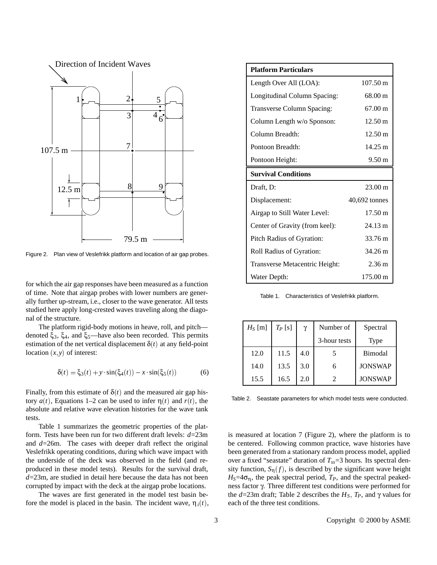

Figure 2. Plan view of Veslefrikk platform and location of air gap probes.

for which the air gap responses have been measured as a function of time. Note that airgap probes with lower numbers are generally further up-stream, i.e., closer to the wave generator. All tests studied here apply long-crested waves traveling along the diagonal of the structure.

The platform rigid-body motions in heave, roll, and pitch denoted  $\xi_3$ ,  $\xi_4$ , and  $\xi_5$ —have also been recorded. This permits estimation of the net vertical displacement  $\delta(t)$  at any field-point location  $(x, y)$  of interest:

$$
\delta(t) = \xi_3(t) + y \cdot \sin(\xi_4(t)) - x \cdot \sin(\xi_5(t))
$$
 (6)

Finally, from this estimate of  $\delta(t)$  and the measured air gap history  $a(t)$ , Equations 1–2 can be used to infer η(*t*) and  $r(t)$ , the absolute and relative wave elevation histories for the wave tank tests.

Table 1 summarizes the geometric properties of the platform. Tests have been run for two different draft levels: *d*=23m and *d*=26m. The cases with deeper draft reflect the original Veslefrikk operating conditions, during which wave impact with the underside of the deck was observed in the field (and reproduced in these model tests). Results for the survival draft, *d*=23m, are studied in detail here because the data has not been corrupted by impact with the deck at the airgap probe locations.

The waves are first generated in the model test basin before the model is placed in the basin. The incident wave,  $\eta_i(t)$ ,

| <b>Platform Particulars</b>    |                    |  |  |  |
|--------------------------------|--------------------|--|--|--|
| Length Over All (LOA):         | $107.50 \text{ m}$ |  |  |  |
| Longitudinal Column Spacing:   | 68.00 m            |  |  |  |
| Transverse Column Spacing:     | $67.00 \text{ m}$  |  |  |  |
| Column Length w/o Sponson:     | 12.50 m            |  |  |  |
| Column Breadth:                | $12.50 \text{ m}$  |  |  |  |
| Pontoon Breadth:               | $14.25 \text{ m}$  |  |  |  |
| Pontoon Height:                | $9.50 \text{ m}$   |  |  |  |
| <b>Survival Conditions</b>     |                    |  |  |  |
| Draft, D:                      | $23.00 \text{ m}$  |  |  |  |
| Displacement:                  | $40,692$ tonnes    |  |  |  |
| Airgap to Still Water Level:   | $17.50 \text{ m}$  |  |  |  |
| Center of Gravity (from keel): | $24.13 \text{ m}$  |  |  |  |
| Pitch Radius of Gyration:      | 33.76 m            |  |  |  |
| Roll Radius of Gyration:       | 34.26 m            |  |  |  |
| Transverse Metacentric Height: | $2.36 \text{ m}$   |  |  |  |
| Water Depth:                   | 175.00 m           |  |  |  |

Table 1. Characteristics of Veslefrikk platform.

| $H_S$ [m] | $T_P$ [s] | γ   | Number of                   | Spectral       |  |
|-----------|-----------|-----|-----------------------------|----------------|--|
|           |           |     | 3-hour tests                | Type           |  |
| 12.0      | 11.5      | 4.0 |                             | Bimodal        |  |
| 14.0      | 13.5      | 3.0 | 6                           | <b>JONSWAP</b> |  |
| 15.5      | 16.5      | 2.0 | $\mathcal{D}_{\mathcal{L}}$ | <b>JONSWAP</b> |  |

Table 2. Seastate parameters for which model tests were conducted.

is measured at location 7 (Figure 2), where the platform is to be centered. Following common practice, wave histories have been generated from a stationary random process model, applied over a fixed "seastate" duration of  $T_{ss}=3$  hours. Its spectral density function,  $S_n(f)$ , is described by the significant wave height  $H_S = 4\sigma_n$ , the peak spectral period,  $T_P$ , and the spectral peakedness factor γ. Three different test conditions were performed for the  $d=23$ m draft; Table 2 describes the  $H<sub>S</sub>$ ,  $T<sub>P</sub>$ , and γ values for each of the three test conditions.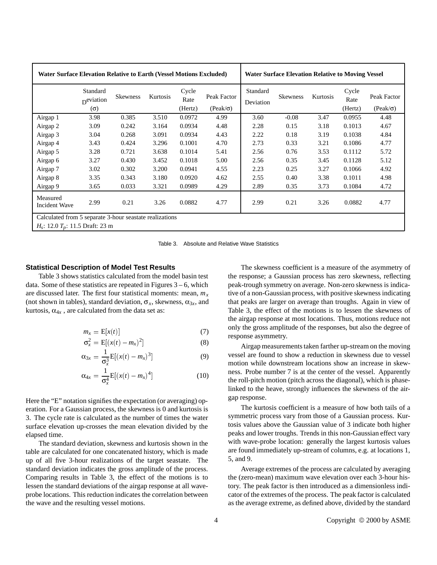|                                  | <b>Water Surface Elevation Relative to Earth (Vessel Motions Excluded)</b><br>Standard<br>D <sup>eviation</sup><br>$(\Omega)$ | <b>Skewness</b> | Kurtosis | Cycle<br>Rate<br>(Hertz) | Peak Factor<br>$(Peak/\sigma)$ | Standard<br>Deviation | <b>Water Surface Elevation Relative to Moving Vessel</b><br><b>Skewness</b> | Kurtosis | Cycle<br>Rate<br>(Hertz) | Peak Factor<br>$(Peak/\sigma)$ |
|----------------------------------|-------------------------------------------------------------------------------------------------------------------------------|-----------------|----------|--------------------------|--------------------------------|-----------------------|-----------------------------------------------------------------------------|----------|--------------------------|--------------------------------|
| Airgap 1                         | 3.98                                                                                                                          | 0.385           | 3.510    | 0.0972                   | 4.99                           | 3.60                  | $-0.08$                                                                     | 3.47     | 0.0955                   | 4.48                           |
| Airgap 2                         | 3.09                                                                                                                          | 0.242           | 3.164    | 0.0934                   | 4.48                           | 2.28                  | 0.15                                                                        | 3.18     | 0.1013                   | 4.67                           |
| Airgap 3                         | 3.04                                                                                                                          | 0.268           | 3.091    | 0.0934                   | 4.43                           | 2.22                  | 0.18                                                                        | 3.19     | 0.1038                   | 4.84                           |
| Airgap 4                         | 3.43                                                                                                                          | 0.424           | 3.296    | 0.1001                   | 4.70                           | 2.73                  | 0.33                                                                        | 3.21     | 0.1086                   | 4.77                           |
| Airgap 5                         | 3.28                                                                                                                          | 0.721           | 3.638    | 0.1014                   | 5.41                           | 2.56                  | 0.76                                                                        | 3.53     | 0.1112                   | 5.72                           |
| Airgap 6                         | 3.27                                                                                                                          | 0.430           | 3.452    | 0.1018                   | 5.00                           | 2.56                  | 0.35                                                                        | 3.45     | 0.1128                   | 5.12                           |
| Airgap 7                         | 3.02                                                                                                                          | 0.302           | 3.200    | 0.0941                   | 4.55                           | 2.23                  | 0.25                                                                        | 3.27     | 0.1066                   | 4.92                           |
| Airgap 8                         | 3.35                                                                                                                          | 0.343           | 3.180    | 0.0920                   | 4.62                           | 2.55                  | 0.40                                                                        | 3.38     | 0.1011                   | 4.98                           |
| Airgap 9                         | 3.65                                                                                                                          | 0.033           | 3.321    | 0.0989                   | 4.29                           | 2.89                  | 0.35                                                                        | 3.73     | 0.1084                   | 4.72                           |
| Measured<br><b>Incident Wave</b> | 2.99                                                                                                                          | 0.21            | 3.26     | 0.0882                   | 4.77                           | 2.99                  | 0.21                                                                        | 3.26     | 0.0882                   | 4.77                           |

Table 3. Absolute and Relative Wave Statistics

# **Statistical Description of Model Test Results**

Table 3 shows statistics calculated from the model basin test data. Some of these statistics are repeated in Figures  $3 - 6$ , which are discussed later. The first four statistical moments: mean,  $m<sub>x</sub>$ (not shown in tables), standard deviation,  $\sigma_x$ , skewness,  $\alpha_{3x}$ , and kurtosis,  $\alpha_{4x}$ , are calculated from the data set as:

$$
m_x = \mathbb{E}[x(t)] \tag{7}
$$

$$
\sigma_x^2 = \mathbb{E}[(x(t) - m_x)^2]
$$
 (8)

$$
\alpha_{3x} = \frac{1}{\sigma_x^3} E[(x(t) - m_x)^3]
$$
 (9)

$$
\alpha_{4x} = \frac{1}{\sigma_x^4} E[(x(t) - m_x)^4]
$$
 (10)

Here the "E" notation signifies the expectation (or averaging) operation. For a Gaussian process, the skewness is 0 and kurtosis is 3. The cycle rate is calculated as the number of times the water surface elevation up-crosses the mean elevation divided by the elapsed time.

The standard deviation, skewness and kurtosis shown in the table are calculated for one concatenated history, which is made up of all five 3-hour realizations of the target seastate. The standard deviation indicates the gross amplitude of the process. Comparing results in Table 3, the effect of the motions is to lessen the standard deviations of the airgap response at all waveprobe locations. This reduction indicates the correlation between the wave and the resulting vessel motions.

The skewness coefficient is a measure of the asymmetry of the response; a Gaussian process has zero skewness, reflecting peak-trough symmetry on average. Non-zero skewness is indicative of a non-Gaussian process, with positive skewness indicating that peaks are larger on average than troughs. Again in view of Table 3, the effect of the motions is to lessen the skewness of the airgap response at most locations. Thus, motions reduce not only the gross amplitude of the responses, but also the degree of response asymmetry.

Airgap measurements taken farther up-stream on the moving vessel are found to show a reduction in skewness due to vessel motion while downstream locations show an increase in skewness. Probe number 7 is at the center of the vessel. Apparently the roll-pitch motion (pitch across the diagonal), which is phaselinked to the heave, strongly influences the skewness of the airgap response.

The kurtosis coefficient is a measure of how both tails of a symmetric process vary from those of a Gaussian process. Kurtosis values above the Gaussian value of 3 indicate both higher peaks and lower troughs. Trends in this non-Gaussian effect vary with wave-probe location: generally the largest kurtosis values are found immediately up-stream of columns, e.g. at locations 1, 5, and 9.

Average extremes of the process are calculated by averaging the (zero-mean) maximum wave elevation over each 3-hour history. The peak factor is then introduced as a dimensionless indicator of the extremes of the process. The peak factor is calculated as the average extreme, as defined above, divided by the standard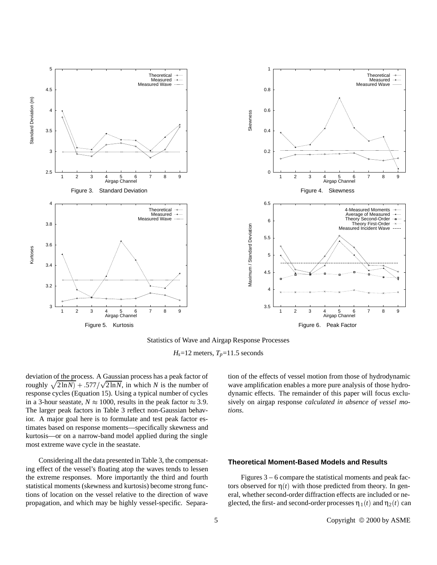

Statistics of Wave and Airgap Response Processes

 $H_s$ =12 meters,  $T_p$ =11.5 seconds

deviation of the process. A Gaussian process has a peak factor of roughly  $\sqrt{2\ln N}$  + :577/ $\sqrt{2\ln N}$ , in which *N* is the number of response cycles (Equation 15). Using a typical number of cycles in a 3-hour seastate,  $N \approx 1000$ , results in the peak factor  $\approx 3.9$ . The larger peak factors in Table 3 reflect non-Gaussian behavior. A major goal here is to formulate and test peak factor estimates based on response moments—specifically skewness and kurtosis—or on a narrow-band model applied during the single most extreme wave cycle in the seastate.

Considering all the data presented in Table 3, the compensating effect of the vessel's floating atop the waves tends to lessen the extreme responses. More importantly the third and fourth statistical moments (skewness and kurtosis) become strong functions of location on the vessel relative to the direction of wave propagation, and which may be highly vessel-specific. Separation of the effects of vessel motion from those of hydrodynamic wave amplification enables a more pure analysis of those hydrodynamic effects. The remainder of this paper will focus exclusively on airgap response *calculated in absence of vessel motions*.

# **Theoretical Moment-Based Models and Results**

Figures 3 – 6 compare the statistical moments and peak factors observed for  $\eta(t)$  with those predicted from theory. In general, whether second-order diffraction effects are included or neglected, the first- and second-order processes  $\eta_1(t)$  and  $\eta_2(t)$  can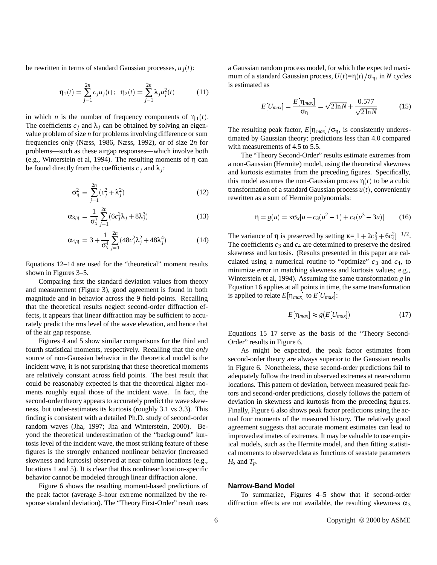be rewritten in terms of standard Gaussian processes,  $u_i(t)$ :

$$
\eta_1(t) = \sum_{j=1}^{2n} c_j u_j(t); \ \ \eta_2(t) = \sum_{j=1}^{2n} \lambda_j u_j^2(t) \tag{11}
$$

in which *n* is the number of frequency components of  $\eta_1(t)$ . The coefficients  $c_j$  and  $\lambda_j$  can be obtained by solving an eigenvalue problem of size *n* for problems involving difference or sum frequencies only (Næss, 1986, Næss, 1992), or of size 2*n* for problems—such as these airgap responses—which involve both (e.g., Winterstein et al, 1994). The resulting moments of η can be found directly from the coefficients  $c_j$  and  $\lambda_j$ :

$$
\sigma_{\eta}^2 = \sum_{j=1}^{2n} (c_j^2 + \lambda_j^2)
$$
 (12)

$$
\alpha_{3,\eta} = \frac{1}{\sigma_x^3} \sum_{j=1}^{2n} (6c_j^2 \lambda_j + 8\lambda_j^3)
$$
 (13)

$$
\alpha_{4,\eta} = 3 + \frac{1}{\sigma_x^4} \sum_{j=1}^{2n} (48c_j^2 \lambda_j^2 + 48\lambda_j^4)
$$
 (14)

Equations 12–14 are used for the "theoretical" moment results shown in Figures 3–5.

Comparing first the standard deviation values from theory and measurement (Figure 3), good agreement is found in both magnitude and in behavior across the 9 field-points. Recalling that the theoretical results neglect second-order diffraction effects, it appears that linear diffraction may be sufficient to accurately predict the rms level of the wave elevation, and hence that of the air gap response.

Figures 4 and 5 show similar comparisons for the third and fourth statistical moments, respectively. Recalling that the *only* source of non-Gaussian behavior in the theoretical model is the incident wave, it is not surprising that these theoretical moments are relatively constant across field points. The best result that could be reasonably expected is that the theoretical higher moments roughly equal those of the incident wave. In fact, the second-order theory appears to accurately predict the wave skewness, but under-estimates its kurtosis (roughly 3.1 vs 3.3). This finding is consistent with a detailed Ph.D. study of second-order random waves (Jha, 1997; Jha and Winterstein, 2000). Beyond the theoretical underestimation of the "background" kurtosis level of the incident wave, the most striking feature of these figures is the strongly enhanced nonlinear behavior (increased skewness and kurtosis) observed at near-column locations (e.g., locations 1 and 5). It is clear that this nonlinear location-specific behavior cannot be modeled through linear diffraction alone.

Figure 6 shows the resulting moment-based predictions of the peak factor (average 3-hour extreme normalized by the response standard deviation). The "Theory First-Order" result uses

a Gaussian random process model, for which the expected maximum of a standard Gaussian process,  $U(t)=\eta(t)/\sigma_{\eta}$ , in *N* cycles is estimated as

$$
E[U_{max}] = \frac{E[\eta_{max}]}{\sigma_{\eta}} = \sqrt{2\ln N} + \frac{0.577}{\sqrt{2\ln N}}
$$
(15)

The resulting peak factor,  $E[\eta_{max}]/\sigma_{\eta}$ , is consistently underestimated by Gaussian theory: predictions less than 4.0 compared with measurements of 4.5 to 5.5.

The "Theory Second-Order" results estimate extremes from a non-Gaussian (Hermite) model, using the theoretical skewness and kurtosis estimates from the preceding figures. Specifically, this model assumes the non-Gaussian process  $\eta(t)$  to be a cubic transformation of a standard Gaussian process  $u(t)$ , conveniently rewritten as a sum of Hermite polynomials:

$$
\eta = g(u) = \kappa \sigma_x [u + c_3(u^2 - 1) + c_4(u^3 - 3u)] \tag{16}
$$

The variance of  $\eta$  is preserved by setting  $\kappa = [1 + 2c_3^2 + 6c_4^2]^{-1/2}$ . The coefficients  $c_3$  and  $c_4$  are determined to preserve the desired skewness and kurtosis. (Results presented in this paper are calculated using a numerical routine to "optimize"  $c_3$  and  $c_4$ , to minimize error in matching skewness and kurtosis values; e.g., Winterstein et al, 1994). Assuming the same transformation *g* in Equation 16 applies at all points in time, the same transformation is applied to relate  $E[\eta_{max}]$  to  $E[U_{max}]$ :

$$
E[\eta_{max}] \approx g(E[U_{max}]) \tag{17}
$$

Equations 15–17 serve as the basis of the "Theory Second-Order" results in Figure 6.

As might be expected, the peak factor estimates from second-order theory are always superior to the Gaussian results in Figure 6. Nonetheless, these second-order predictions fail to adequately follow the trend in observed extremes at near-column locations. This pattern of deviation, between measured peak factors and second-order predictions, closely follows the pattern of deviation in skewness and kurtosis from the preceding figures. Finally, Figure 6 also shows peak factor predictions using the actual four moments of the measured history. The relatively good agreement suggests that accurate moment estimates can lead to improved estimates of extremes. It may be valuable to use empirical models, such as the Hermite model, and then fitting statistical moments to observed data as functions of seastate parameters  $H_s$  and  $T_p$ .

# **Narrow-Band Model**

To summarize, Figures 4–5 show that if second-order diffraction effects are not available, the resulting skewness  $\alpha_3$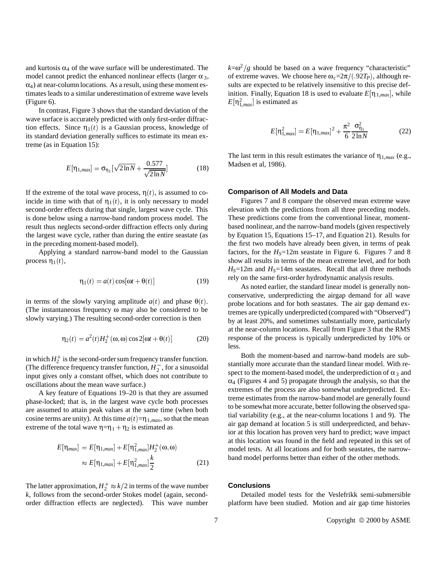and kurtosis  $\alpha_4$  of the wave surface will be underestimated. The model cannot predict the enhanced nonlinear effects (larger  $\alpha_3$ ,  $\alpha_4$ ) at near-column locations. As a result, using these moment estimates leads to a similar underestimation of extreme wave levels (Figure 6).

In contrast, Figure 3 shows that the standard deviation of the wave surface is accurately predicted with only first-order diffraction effects. Since  $\eta_1(t)$  is a Gaussian process, knowledge of its standard deviation generally suffices to estimate its mean extreme (as in Equation 15):

$$
E[\eta_{1,max}] = \sigma_{\eta_1} [\sqrt{2 \ln N} + \frac{0.577}{\sqrt{2 \ln N}}]
$$
 (18)

If the extreme of the total wave process,  $\eta(t)$ , is assumed to coincide in time with that of  $\eta_1(t)$ , it is only necessary to model second-order effects during that single, largest wave cycle. This is done below using a narrow-band random process model. The result thus neglects second-order diffraction effects only during the largest wave cycle, rather than during the entire seastate (as in the preceding moment-based model).

Applying a standard narrow-band model to the Gaussian process  $η_1(t)$ ,

$$
\eta_1(t) = a(t)\cos[\omega t + \theta(t)]\tag{19}
$$

in terms of the slowly varying amplitude  $a(t)$  and phase  $\theta(t)$ . (The instantaneous frequency ω may also be considered to be slowly varying.) The resulting second-order correction is then

$$
\eta_2(t) = a^2(t)H_2^+(\omega,\omega)\cos 2[\omega t + \theta(t)]\tag{20}
$$

in which  $H_2^+$  is the second-order sum frequency transfer function. (The difference frequency transfer function,  $H_2^-$ , for a sinusoidal input gives only a constant offset, which does not contribute to oscillations about the mean wave surface.)

A key feature of Equations 19–20 is that they are assumed phase-locked; that is, in the largest wave cycle both processes are assumed to attain peak values at the same time (when both cosine terms are unity). At this time  $a(t)=\eta_{1,max}$ , so that the mean extreme of the total wave  $\eta = \eta_1 + \eta_2$  is estimated as

$$
E[\eta_{max}] = E[\eta_{1,max}] + E[\eta_{1,max}^2]H_2^+(\omega, \omega)
$$
  

$$
\approx E[\eta_{1,max}] + E[\eta_{1,max}^2] \frac{k}{2}
$$
 (21)

The latter approximation,  $H_2^+ \approx k/2$  in terms of the wave number *k*, follows from the second-order Stokes model (again, secondorder diffraction effects are neglected). This wave number

 $k=\omega^2/g$  should be based on a wave frequency "characteristic" of extreme waves. We choose here  $\omega_c = 2\pi/(.92T_P)$ , although results are expected to be relatively insensitive to this precise definition. Finally, Equation 18 is used to evaluate  $E[\eta_{1,max}]$ , while  $E[\eta_{1,max}^2]$  is estimated as

$$
E[\eta_{1,max}^2] = E[\eta_{1,max}]^2 + \frac{\pi^2}{6} \frac{\sigma_{\eta_1}^2}{2\ln N}
$$
 (22)

The last term in this result estimates the variance of  $\eta_{1,max}$  (e.g., Madsen et al, 1986).

#### **Comparison of All Models and Data**

Figures 7 and 8 compare the observed mean extreme wave elevation with the predictions from all three preceding models. These predictions come from the conventional linear, momentbased nonlinear, and the narrow-band models (given respectively by Equation 15, Equations 15–17, and Equation 21). Results for the first two models have already been given, in terms of peak factors, for the  $H<sub>S</sub>=12m$  seastate in Figure 6. Figures 7 and 8 show all results in terms of the mean extreme level, and for both  $H<sub>S</sub>=12m$  and  $H<sub>S</sub>=14m$  seastates. Recall that all three methods rely on the same first-order hydrodynamic analysis results.

As noted earlier, the standard linear model is generally nonconservative, underpredicting the airgap demand for all wave probe locations and for both seastates. The air gap demand extremes are typically underpredicted (compared with "Observed") by at least 20%, and sometimes substantially more, particularly at the near-column locations. Recall from Figure 3 that the RMS response of the process is typically underpredicted by 10% or less.

Both the moment-based and narrow-band models are substantially more accurate than the standard linear model. With respect to the moment-based model, the underprediction of  $\alpha_3$  and  $\alpha_4$  (Figures 4 and 5) propagate through the analysis, so that the extremes of the process are also somewhat underpredicted. Extreme estimates from the narrow-band model are generally found to be somewhat more accurate, better following the observed spatial variability (e.g., at the near-column locations 1 and 9). The air gap demand at location 5 is still underpredicted, and behavior at this location has proven very hard to predict; wave impact at this location was found in the field and repeated in this set of model tests. At all locations and for both seastates, the narrowband model performs better than either of the other methods.

#### **Conclusions**

Detailed model tests for the Veslefrikk semi-submersible platform have been studied. Motion and air gap time histories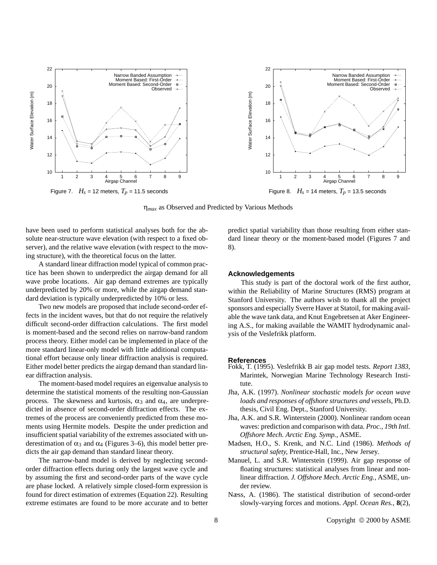

η*max* as Observed and Predicted by Various Methods

have been used to perform statistical analyses both for the absolute near-structure wave elevation (with respect to a fixed observer), and the relative wave elevation (with respect to the moving structure), with the theoretical focus on the latter.

A standard linear diffraction model typical of common practice has been shown to underpredict the airgap demand for all wave probe locations. Air gap demand extremes are typically underpredicted by 20% or more, while the airgap demand standard deviation is typically underpredicted by 10% or less.

Two new models are proposed that include second-order effects in the incident waves, but that do not require the relatively difficult second-order diffraction calculations. The first model is moment-based and the second relies on narrow-band random process theory. Either model can be implemented in place of the more standard linear-only model with little additional computational effort because only linear diffraction analysis is required. Either model better predicts the airgap demand than standard linear diffraction analysis.

The moment-based model requires an eigenvalue analysis to determine the statistical moments of the resulting non-Gaussian process. The skewness and kurtosis,  $\alpha_3$  and  $\alpha_4$ , are underpredicted in absence of second-order diffraction effects. The extremes of the process are conveniently predicted from these moments using Hermite models. Despite the under prediction and insufficient spatial variability of the extremes associated with underestimation of  $\alpha_3$  and  $\alpha_4$  (Figures 3–6), this model better predicts the air gap demand than standard linear theory.

The narrow-band model is derived by neglecting secondorder diffraction effects during only the largest wave cycle and by assuming the first and second-order parts of the wave cycle are phase locked. A relatively simple closed-form expression is found for direct estimation of extremes (Equation 22). Resulting extreme estimates are found to be more accurate and to better predict spatial variability than those resulting from either standard linear theory or the moment-based model (Figures 7 and 8).

### **Acknowledgements**

This study is part of the doctoral work of the first author, within the Reliability of Marine Structures (RMS) program at Stanford University. The authors wish to thank all the project sponsors and especially Sverre Haver at Statoil, for making available the wave tank data, and Knut Engebretsen at Aker Engineering A.S., for making available the WAMIT hydrodynamic analysis of the Veslefrikk platform.

#### **References**

- Fokk, T. (1995). Veslefrikk B air gap model tests. *Report 1383,* Marintek, Norwegian Marine Technology Research Institute.
- Jha, A.K. (1997). *Nonlinear stochastic models for ocean wave loads and responses of offshore structures and vessels,* Ph.D. thesis, Civil Eng. Dept., Stanford University.
- Jha, A.K. and S.R. Winterstein (2000). Nonlinear random ocean waves: prediction and comparison with data. *Proc., 19th Intl. Offshore Mech. Arctic Eng. Symp.,* ASME.
- Madsen, H.O., S. Krenk, and N.C. Lind (1986). *Methods of structural safety,* Prentice-Hall, Inc., New Jersey.
- Manuel, L. and S.R. Winterstein (1999). Air gap response of floating structures: statistical analyses from linear and nonlinear diffraction. *J. Offshore Mech. Arctic Eng.,* ASME, under review.
- Næss, A. (1986). The statistical distribution of second-order slowly-varying forces and motions. *Appl. Ocean Res.*, **8**(2),